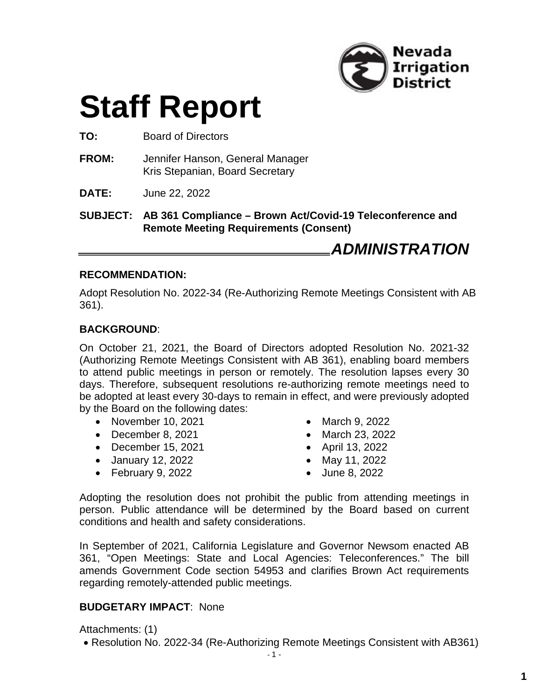

# **Staff Report**

**TO:** Board of Directors

- **FROM:** Jennifer Hanson, General Manager Kris Stepanian, Board Secretary
- **DATE:** June 22, 2022

**SUBJECT: AB 361 Compliance – Brown Act/Covid-19 Teleconference and Remote Meeting Requirements (Consent)**

### *ADMINISTRATION*

#### **RECOMMENDATION:**

Adopt Resolution No. 2022-34 (Re-Authorizing Remote Meetings Consistent with AB 361).

#### **BACKGROUND**:

On October 21, 2021, the Board of Directors adopted Resolution No. 2021-32 (Authorizing Remote Meetings Consistent with AB 361), enabling board members to attend public meetings in person or remotely. The resolution lapses every 30 days. Therefore, subsequent resolutions re-authorizing remote meetings need to be adopted at least every 30-days to remain in effect, and were previously adopted by the Board on the following dates:

- November 10, 2021
- December 8, 2021
- December 15, 2021
- January 12, 2022
- February 9, 2022
- March 9, 2022
- March 23, 2022
- April 13, 2022
- May 11, 2022
- June 8, 2022

Adopting the resolution does not prohibit the public from attending meetings in person. Public attendance will be determined by the Board based on current conditions and health and safety considerations.

In September of 2021, California Legislature and Governor Newsom enacted AB 361, "Open Meetings: State and Local Agencies: Teleconferences." The bill amends Government Code section 54953 and clarifies Brown Act requirements regarding remotely-attended public meetings.

#### **BUDGETARY IMPACT**: None

Attachments: (1)

Resolution No. 2022-34 (Re-Authorizing Remote Meetings Consistent with AB361)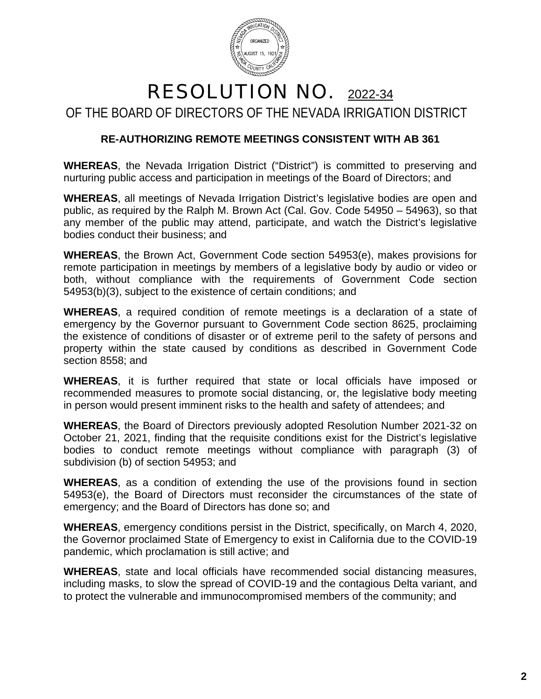

## RESOLUTION NO. 2022-34 OF THE BOARD OF DIRECTORS OF THE NEVADA IRRIGATION DISTRICT

#### **RE-AUTHORIZING REMOTE MEETINGS CONSISTENT WITH AB 361**

**WHEREAS**, the Nevada Irrigation District ("District") is committed to preserving and nurturing public access and participation in meetings of the Board of Directors; and

**WHEREAS**, all meetings of Nevada Irrigation District's legislative bodies are open and public, as required by the Ralph M. Brown Act (Cal. Gov. Code 54950 – 54963), so that any member of the public may attend, participate, and watch the District's legislative bodies conduct their business; and

**WHEREAS**, the Brown Act, Government Code section 54953(e), makes provisions for remote participation in meetings by members of a legislative body by audio or video or both, without compliance with the requirements of Government Code section 54953(b)(3), subject to the existence of certain conditions; and

**WHEREAS**, a required condition of remote meetings is a declaration of a state of emergency by the Governor pursuant to Government Code section 8625, proclaiming the existence of conditions of disaster or of extreme peril to the safety of persons and property within the state caused by conditions as described in Government Code section 8558; and

**WHEREAS**, it is further required that state or local officials have imposed or recommended measures to promote social distancing, or, the legislative body meeting in person would present imminent risks to the health and safety of attendees; and

**WHEREAS**, the Board of Directors previously adopted Resolution Number 2021-32 on October 21, 2021, finding that the requisite conditions exist for the District's legislative bodies to conduct remote meetings without compliance with paragraph (3) of subdivision (b) of section 54953; and

**WHEREAS**, as a condition of extending the use of the provisions found in section 54953(e), the Board of Directors must reconsider the circumstances of the state of emergency; and the Board of Directors has done so; and

**WHEREAS**, emergency conditions persist in the District, specifically, on March 4, 2020, the Governor proclaimed State of Emergency to exist in California due to the COVID-19 pandemic, which proclamation is still active; and

**WHEREAS**, state and local officials have recommended social distancing measures, including masks, to slow the spread of COVID-19 and the contagious Delta variant, and to protect the vulnerable and immunocompromised members of the community; and